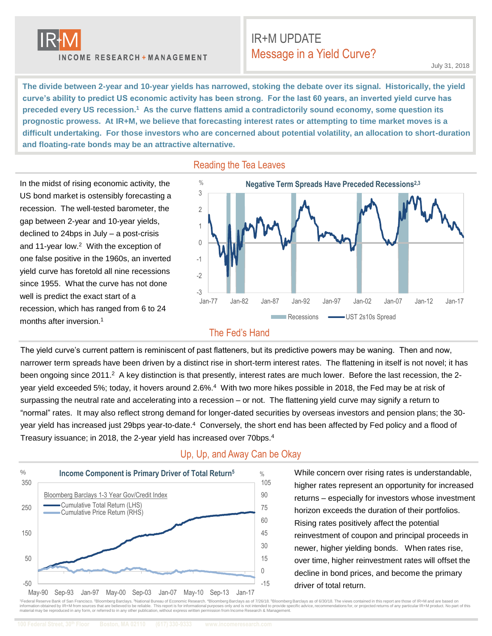

months after inversion.<sup>1</sup>

**INCOME RESEARCH + MANAGEMENT** 

# IR+M UPDATE Message in a Yield Curve?

**The divide between 2-year and 10-year yields has narrowed, stoking the debate over its signal. Historically, the yield curve's ability to predict US economic activity has been strong. For the last 60 years, an inverted yield curve has preceded every US recession.<sup>1</sup> As the curve flattens amid a contradictorily sound economy, some question its prognostic prowess. At IR+M, we believe that forecasting interest rates or attempting to time market moves is a difficult undertaking. For those investors who are concerned about potential volatility, an allocation to short-duration and floating-rate bonds may be an attractive alternative.**

In the midst of rising economic activity, the US bond market is ostensibly forecasting a recession. The well-tested barometer, the gap between 2-year and 10-year yields, declined to 24bps in July – a post-crisis and 11-year low.<sup>2</sup> With the exception of one false positive in the 1960s, an inverted yield curve has foretold all nine recessions since 1955. What the curve has not done well is predict the exact start of a recession, which has ranged from 6 to 24





#### The Fed's Hand

The yield curve's current pattern is reminiscent of past flatteners, but its predictive powers may be waning. Then and now, narrower term spreads have been driven by a distinct rise in short-term interest rates. The flattening in itself is not novel; it has been ongoing since 2011.<sup>2</sup> A key distinction is that presently, interest rates are much lower. Before the last recession, the 2year yield exceeded 5%; today, it hovers around 2.6%.<sup>4</sup> With two more hikes possible in 2018, the Fed may be at risk of surpassing the neutral rate and accelerating into a recession – or not. The flattening yield curve may signify a return to "normal" rates. It may also reflect strong demand for longer-dated securities by overseas investors and pension plans; the 30 year yield has increased just 29bps year-to-date.<sup>4</sup> Conversely, the short end has been affected by Fed policy and a flood of Treasury issuance; in 2018, the 2-year yield has increased over 70bps.<sup>4</sup>



#### Up, Up, and Away Can be Okay

While concern over rising rates is understandable, higher rates represent an opportunity for increased returns – especially for investors whose investment horizon exceeds the duration of their portfolios. Rising rates positively affect the potential reinvestment of coupon and principal proceeds in newer, higher yielding bonds. When rates rise, over time, higher reinvestment rates will offset the decline in bond prices, and become the primary driver of total return.

<sup>1</sup> Federal Reserve Bank of San Francisco. <sup>2</sup>Bloomberg Barclays. <sup>3</sup>National Bureau of Economic Research. <sup>4</sup>Bloomberg Barclays as of 7/26/18, <sup>5</sup>Bloomberg Barclays as of 6/30/18. The views contained in this report are th information obtained by IR+M from sources that are believed to be reliable. This report is for informational purposes only and is not intended to provide specific advice, recommendations for, or projected returns of any pa